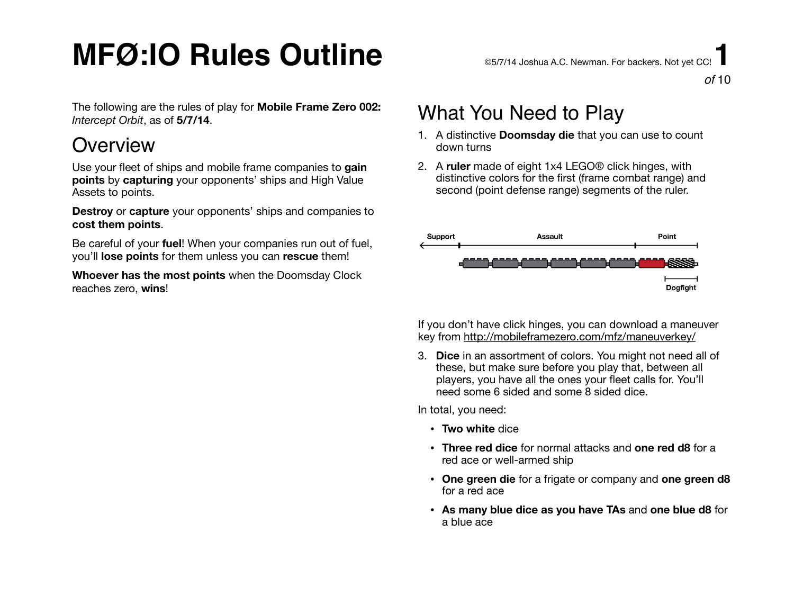# $\mathsf{MFO}:\mathsf{IO}$  Rules Outline  $\mathsf{S}$  and  $\mathsf{S}_{\mathsf{S}/\mathsf{S}/\mathsf{N4}}$  Joshua A.C. Newman. For backers. Not vet CC!

The following are the rules of play for **Mobile Frame Zero 002:**  *Intercept Orbit*, as of **5/7/14**.

### **Overview**

Use your fleet of ships and mobile frame companies to **gain points** by **capturing** your opponents' ships and High Value Assets to points.

**Destroy** or **capture** your opponents' ships and companies to **cost them points**.

Be careful of your **fuel**! When your companies run out of fuel, you'll **lose points** for them unless you can **rescue** them!

**Whoever has the most points** when the Doomsday Clock reaches zero, **wins**!

*of* 10

## What You Need to Play

- 1. A distinctive **Doomsday die** that you can use to count down turns
- 2. A **ruler** made of eight 1x4 LEGO® click hinges, with distinctive colors for the first (frame combat range) and second (point defense range) segments of the ruler.



If you don't have click hinges, you can download a maneuver key from <http://mobileframezero.com/mfz/maneuverkey/>

3. **Dice** in an assortment of colors. You might not need all of these, but make sure before you play that, between all players, you have all the ones your fleet calls for. You'll need some 6 sided and some 8 sided dice.

In total, you need:

- **Two white** dice
- **Three red dice** for normal attacks and **one red d8** for a red ace or well-armed ship
- **One green die** for a frigate or company and **one green d8** for a red ace
- **As many blue dice as you have TAs** and **one blue d8** for a blue ace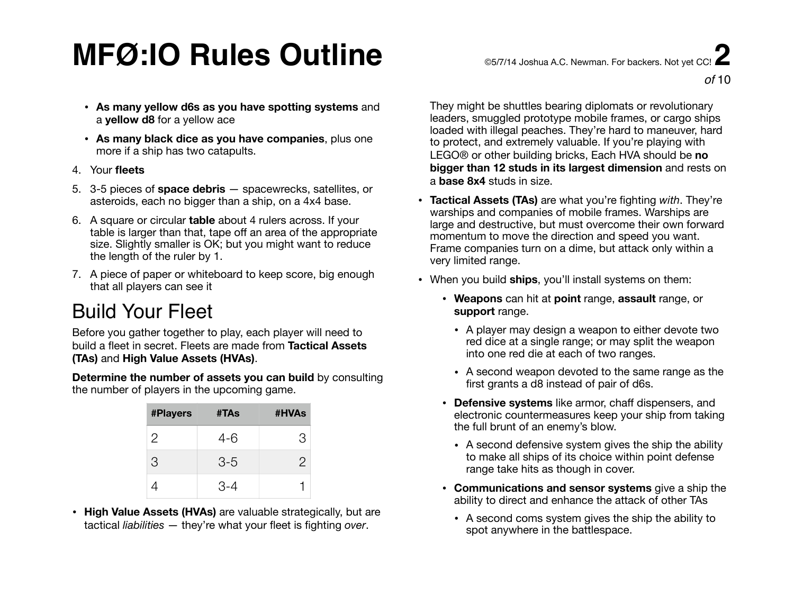# $\mathsf{MFO}:\mathsf{IO}$  Rules Outline  $\mathsf{S}$  and  $\mathsf{S}$  and  $\mathsf{S}$  and  $\mathsf{S}$  and  $\mathsf{S}$  and  $\mathsf{S}$  and  $\mathsf{S}$  and  $\mathsf{S}$  and  $\mathsf{S}$  and  $\mathsf{S}$  and  $\mathsf{S}$  and  $\mathsf{S}$  and  $\mathsf{S}$  and  $\mathsf{S}$  and  $\mathsf{S}$

- **As many yellow d6s as you have spotting systems** and a **yellow d8** for a yellow ace
- **As many black dice as you have companies**, plus one more if a ship has two catapults.
- 4. Your **fleets**
- 5. 3-5 pieces of **space debris** spacewrecks, satellites, or asteroids, each no bigger than a ship, on a 4x4 base.
- 6. A square or circular **table** about 4 rulers across. If your table is larger than that, tape off an area of the appropriate size. Slightly smaller is OK; but you might want to reduce the length of the ruler by 1.
- 7. A piece of paper or whiteboard to keep score, big enough that all players can see it

## Build Your Fleet

Before you gather together to play, each player will need to build a fleet in secret. Fleets are made from **Tactical Assets (TAs)** and **High Value Assets (HVAs)**.

**Determine the number of assets you can build** by consulting the number of players in the upcoming game.

| <b>#Players</b> | #TAs  | #HVAs |
|-----------------|-------|-------|
| 2               | $4-6$ | 3     |
| 3               | $3-5$ | 2     |
|                 | 3-4   |       |

• **High Value Assets (HVAs)** are valuable strategically, but are tactical *liabilities* — they're what your fleet is fighting *over*.

They might be shuttles bearing diplomats or revolutionary leaders, smuggled prototype mobile frames, or cargo ships loaded with illegal peaches. They're hard to maneuver, hard to protect, and extremely valuable. If you're playing with LEGO® or other building bricks, Each HVA should be **no bigger than 12 studs in its largest dimension** and rests on a **base 8x4** studs in size.

- **Tactical Assets (TAs)** are what you're fighting *with*. They're warships and companies of mobile frames. Warships are large and destructive, but must overcome their own forward momentum to move the direction and speed you want. Frame companies turn on a dime, but attack only within a very limited range.
- When you build **ships**, you'll install systems on them:
	- **Weapons** can hit at **point** range, **assault** range, or **support** range.
		- A player may design a weapon to either devote two red dice at a single range; or may split the weapon into one red die at each of two ranges.
		- A second weapon devoted to the same range as the first grants a d8 instead of pair of d6s.
	- **Defensive systems** like armor, chaff dispensers, and electronic countermeasures keep your ship from taking the full brunt of an enemy's blow.
		- A second defensive system gives the ship the ability to make all ships of its choice within point defense range take hits as though in cover.
	- **Communications and sensor systems** give a ship the ability to direct and enhance the attack of other TAs
		- A second coms system gives the ship the ability to spot anywhere in the battlespace.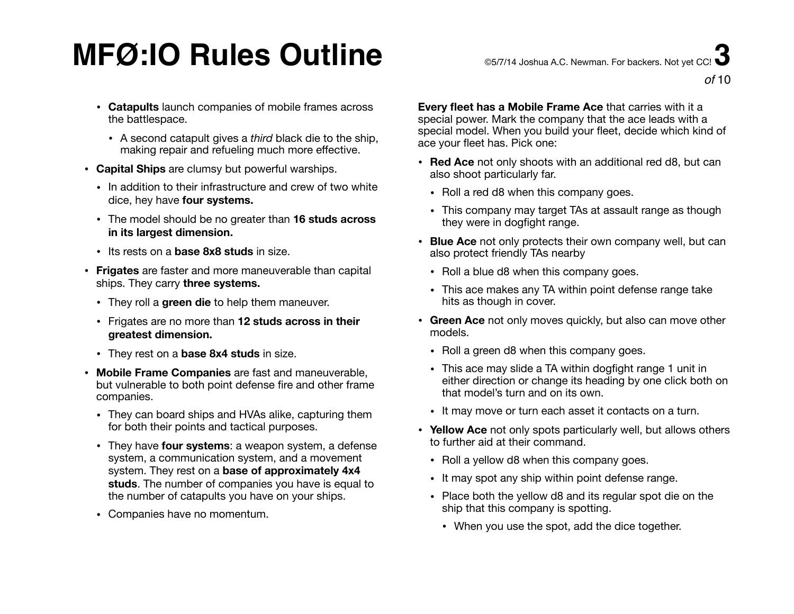# $\mathsf{MFO}:\mathsf{IO}$  Rules Outline  $\mathsf{S}$  and  $\mathsf{S}$  and  $\mathsf{S}$  and  $\mathsf{S}$  and  $\mathsf{S}$  and  $\mathsf{S}$  and  $\mathsf{S}$  and  $\mathsf{S}$  and  $\mathsf{S}$  and  $\mathsf{S}$  and  $\mathsf{S}$  and  $\mathsf{S}$  and  $\mathsf{S}$  and  $\mathsf{S}$  and  $\mathsf{S}$

- **Catapults** launch companies of mobile frames across the battlespace.
	- A second catapult gives a *third* black die to the ship, making repair and refueling much more effective.
- **Capital Ships** are clumsy but powerful warships.
	- In addition to their infrastructure and crew of two white dice, hey have **four systems.**
	- The model should be no greater than **16 studs across in its largest dimension.**
	- Its rests on a **base 8x8 studs** in size.
- **Frigates** are faster and more maneuverable than capital ships. They carry **three systems.** 
	- They roll a **green die** to help them maneuver.
	- Frigates are no more than **12 studs across in their greatest dimension.**
	- They rest on a **base 8x4 studs** in size.
- **Mobile Frame Companies** are fast and maneuverable, but vulnerable to both point defense fire and other frame companies.
	- They can board ships and HVAs alike, capturing them for both their points and tactical purposes.
	- They have **four systems**: a weapon system, a defense system, a communication system, and a movement system. They rest on a **base of approximately 4x4 studs**. The number of companies you have is equal to the number of catapults you have on your ships.
	- Companies have no momentum.

**Every fleet has a Mobile Frame Ace** that carries with it a special power. Mark the company that the ace leads with a special model. When you build your fleet, decide which kind of ace your fleet has. Pick one:

- **Red Ace** not only shoots with an additional red d8, but can also shoot particularly far.
	- Roll a red d8 when this company goes.
	- This company may target TAs at assault range as though they were in dogfight range.
- **Blue Ace** not only protects their own company well, but can also protect friendly TAs nearby
	- Roll a blue d8 when this company goes.
	- This ace makes any TA within point defense range take hits as though in cover.
- **Green Ace** not only moves quickly, but also can move other models.
	- Roll a green d8 when this company goes.
	- This ace may slide a TA within dogfight range 1 unit in either direction or change its heading by one click both on that model's turn and on its own.
	- It may move or turn each asset it contacts on a turn.
- **Yellow Ace** not only spots particularly well, but allows others to further aid at their command.
	- Roll a yellow d8 when this company goes.
	- It may spot any ship within point defense range.
	- Place both the yellow d8 and its regular spot die on the ship that this company is spotting.
		- When you use the spot, add the dice together.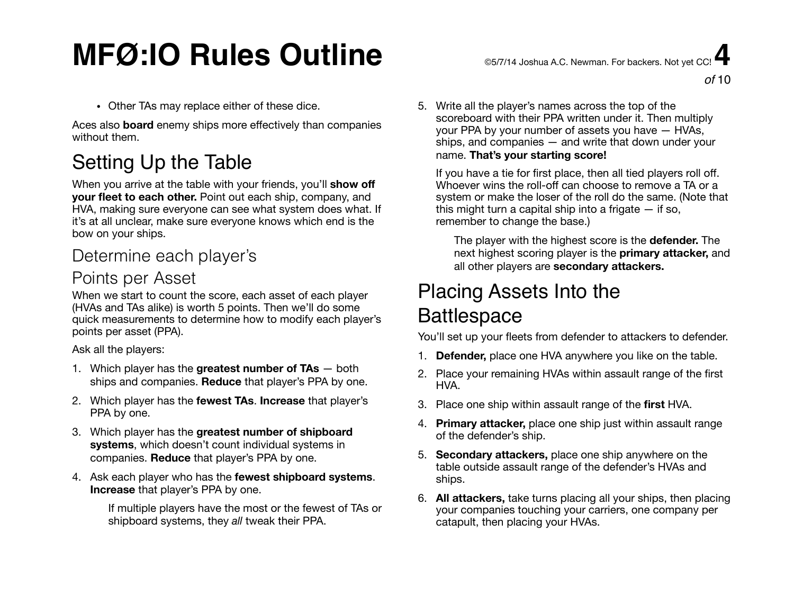# $\mathsf{MFG:IO}$  Rules Outline  $\mathsf{S}$  and  $\mathsf{S}$  and  $\mathsf{MFG}$  and  $\mathsf{MFG}$  and  $\mathsf{MFG}$  and  $\mathsf{MFG}$  and  $\mathsf{MFG}$  and  $\mathsf{MFG}$  and  $\mathsf{MFG}$  and  $\mathsf{MFG}$  and  $\mathsf{MFG}$  and  $\mathsf{MFG}$  and  $\mathsf{MFG}$  and  $\mathsf{MFG}$  and

• Other TAs may replace either of these dice.

Aces also **board** enemy ships more effectively than companies without them.

## Setting Up the Table

When you arrive at the table with your friends, you'll **show off your fleet to each other.** Point out each ship, company, and HVA, making sure everyone can see what system does what. If it's at all unclear, make sure everyone knows which end is the bow on your ships.

### Determine each player's

#### Points per Asset

When we start to count the score, each asset of each player (HVAs and TAs alike) is worth 5 points. Then we'll do some quick measurements to determine how to modify each player's points per asset (PPA).

Ask all the players:

- 1. Which player has the **greatest number of TAs** both ships and companies. **Reduce** that player's PPA by one.
- 2. Which player has the **fewest TAs**. **Increase** that player's PPA by one.
- 3. Which player has the **greatest number of shipboard systems**, which doesn't count individual systems in companies. **Reduce** that player's PPA by one.
- 4. Ask each player who has the **fewest shipboard systems**. **Increase** that player's PPA by one.

If multiple players have the most or the fewest of TAs or shipboard systems, they *all* tweak their PPA.

5. Write all the player's names across the top of the scoreboard with their PPA written under it. Then multiply your PPA by your number of assets you have — HVAs, ships, and companies — and write that down under your name. **That's your starting score!** 

If you have a tie for first place, then all tied players roll off. Whoever wins the roll-off can choose to remove a TA or a system or make the loser of the roll do the same. (Note that this might turn a capital ship into a frigate  $-$  if so, remember to change the base.)

The player with the highest score is the **defender.** The next highest scoring player is the **primary attacker,** and all other players are **secondary attackers.**

## Placing Assets Into the **Battlespace**

You'll set up your fleets from defender to attackers to defender.

- 1. **Defender,** place one HVA anywhere you like on the table.
- 2. Place your remaining HVAs within assault range of the first HVA.
- 3. Place one ship within assault range of the **first** HVA.
- 4. **Primary attacker,** place one ship just within assault range of the defender's ship.
- 5. **Secondary attackers,** place one ship anywhere on the table outside assault range of the defender's HVAs and ships.
- 6. **All attackers,** take turns placing all your ships, then placing your companies touching your carriers, one company per catapult, then placing your HVAs.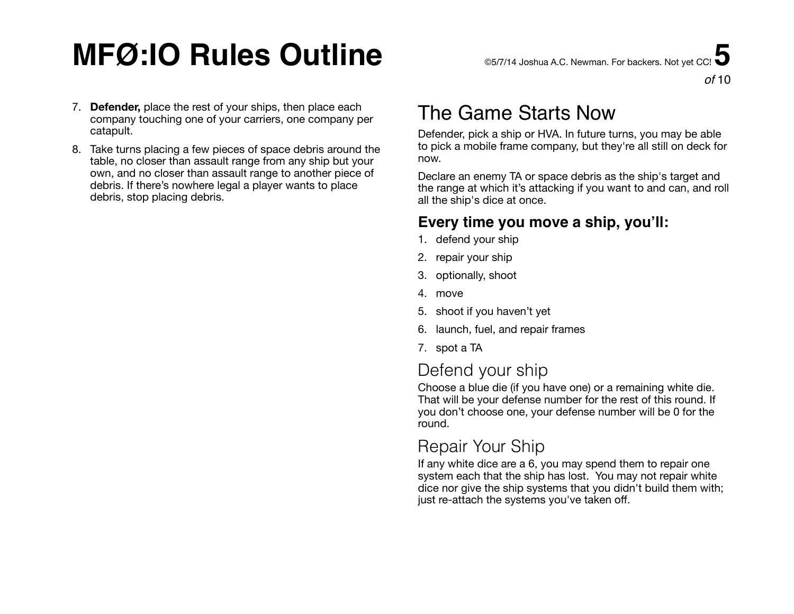# **MFØ:IO Rules Outline** ©5/7/14 Joshua A.C. Newman. For backers. Not yet CC! **5**

7. **Defender,** place the rest of your ships, then place each company touching one of your carriers, one company per catapult.

8. Take turns placing a few pieces of space debris around the table, no closer than assault range from any ship but your own, and no closer than assault range to another piece of debris. If there's nowhere legal a player wants to place debris, stop placing debris.

## The Game Starts Now

Defender, pick a ship or HVA. In future turns, you may be able to pick a mobile frame company, but they're all still on deck for now.

Declare an enemy TA or space debris as the ship's target and the range at which it's attacking if you want to and can, and roll all the ship's dice at once.

#### **Every time you move a ship, you'll:**

- 1. defend your ship
- 2. repair your ship
- 3. optionally, shoot
- 4. move
- 5. shoot if you haven't yet
- 6. launch, fuel, and repair frames
- 7. spot a TA

### Defend your ship

Choose a blue die (if you have one) or a remaining white die. That will be your defense number for the rest of this round. If you don't choose one, your defense number will be 0 for the round.

### Repair Your Ship

If any white dice are a 6, you may spend them to repair one system each that the ship has lost. You may not repair white dice nor give the ship systems that you didn't build them with; just re-attach the systems you've taken off.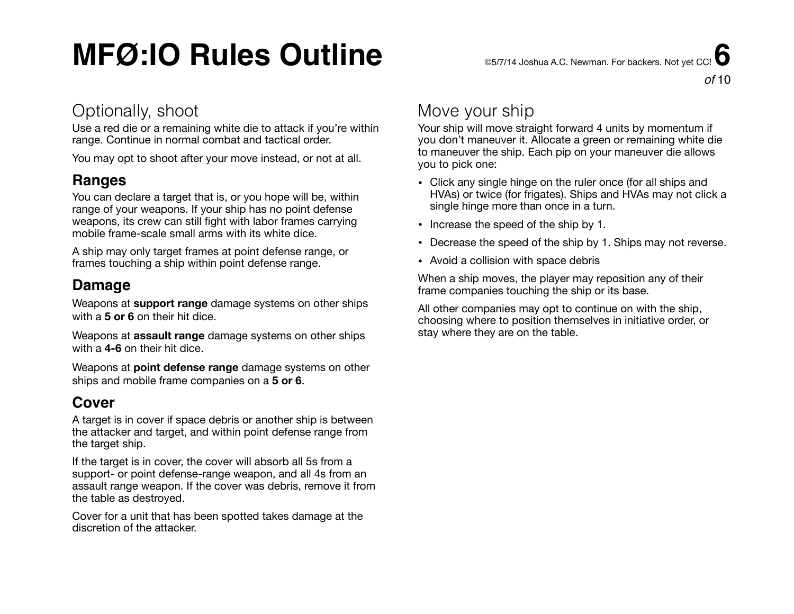# MFØ:IO Rules Outline **CELA A.C. Newman. For backers. Not vet CC!**

*of* 10

### Optionally, shoot

Use a red die or a remaining white die to attack if you're within range. Continue in normal combat and tactical order.

You may opt to shoot after your move instead, or not at all.

#### **Ranges**

You can declare a target that is, or you hope will be, within range of your weapons. If your ship has no point defense weapons, its crew can still fight with labor frames carrying mobile frame-scale small arms with its white dice.

A ship may only target frames at point defense range, or frames touching a ship within point defense range.

#### **Damage**

Weapons at **support range** damage systems on other ships with a **5 or 6** on their hit dice.

Weapons at **assault range** damage systems on other ships with a **4-6** on their hit dice.

Weapons at **point defense range** damage systems on other ships and mobile frame companies on a **5 or 6**.

#### **Cover**

A target is in cover if space debris or another ship is between the attacker and target, and within point defense range from the target ship.

If the target is in cover, the cover will absorb all 5s from a support- or point defense-range weapon, and all 4s from an assault range weapon. If the cover was debris, remove it from the table as destroyed.

Cover for a unit that has been spotted takes damage at the discretion of the attacker.

### Move your ship

Your ship will move straight forward 4 units by momentum if you don't maneuver it. Allocate a green or remaining white die to maneuver the ship. Each pip on your maneuver die allows you to pick one:

- Click any single hinge on the ruler once (for all ships and HVAs) or twice (for frigates). Ships and HVAs may not click a single hinge more than once in a turn.
- Increase the speed of the ship by 1.
- Decrease the speed of the ship by 1. Ships may not reverse.
- Avoid a collision with space debris

When a ship moves, the player may reposition any of their frame companies touching the ship or its base.

All other companies may opt to continue on with the ship, choosing where to position themselves in initiative order, or stay where they are on the table.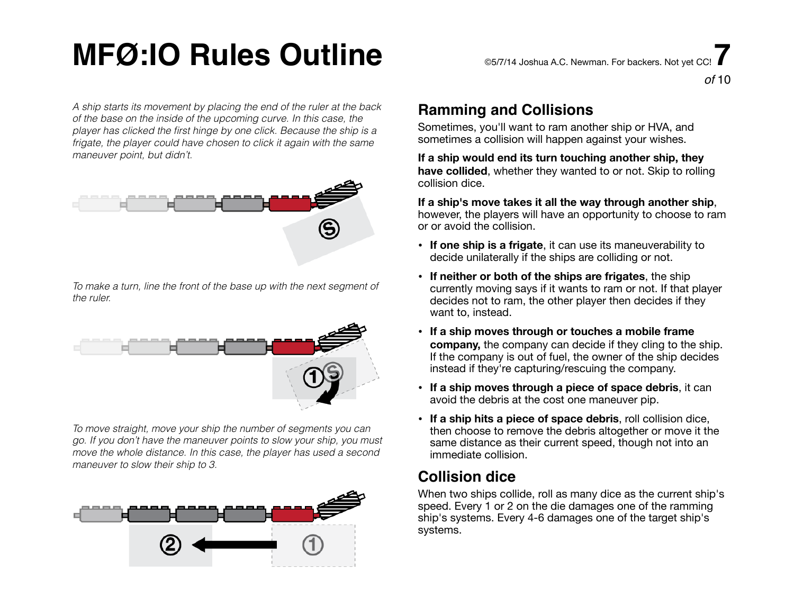# $\mathsf{MFG:IO}$  Rules Outline  $\mathsf{S}$  and  $\mathsf{S}$  and  $\mathsf{MFG}$  and  $\mathsf{MFG}$  and  $\mathsf{MFG}$  and  $\mathsf{MFG}$  and  $\mathsf{MFG}$  and  $\mathsf{MFG}$  and  $\mathsf{MFG}$  and  $\mathsf{MFG}$  and  $\mathsf{MFG}$  and  $\mathsf{MFG}$  and  $\mathsf{MFG}$  and  $\mathsf{MFG}$  and

*A ship starts its movement by placing the end of the ruler at the back of the base on the inside of the upcoming curve. In this case, the player has clicked the first hinge by one click. Because the ship is a frigate, the player could have chosen to click it again with the same maneuver point, but didn't.*



*To make a turn, line the front of the base up with the next segment of the ruler.*



*To move straight, move your ship the number of segments you can go. If you don't have the maneuver points to slow your ship, you must move the whole distance. In this case, the player has used a second maneuver to slow their ship to 3.*



#### **Ramming and Collisions**

Sometimes, you'll want to ram another ship or HVA, and sometimes a collision will happen against your wishes.

**If a ship would end its turn touching another ship, they have collided**, whether they wanted to or not. Skip to rolling collision dice.

**If a ship's move takes it all the way through another ship**, however, the players will have an opportunity to choose to ram or or avoid the collision.

- **If one ship is a frigate**, it can use its maneuverability to decide unilaterally if the ships are colliding or not.
- **If neither or both of the ships are frigates**, the ship currently moving says if it wants to ram or not. If that player decides not to ram, the other player then decides if they want to, instead.
- **If a ship moves through or touches a mobile frame company,** the company can decide if they cling to the ship. If the company is out of fuel, the owner of the ship decides instead if they're capturing/rescuing the company.
- **If a ship moves through a piece of space debris**, it can avoid the debris at the cost one maneuver pip.
- **If a ship hits a piece of space debris**, roll collision dice, then choose to remove the debris altogether or move it the same distance as their current speed, though not into an immediate collision.

#### **Collision dice**

When two ships collide, roll as many dice as the current ship's speed. Every 1 or 2 on the die damages one of the ramming ship's systems. Every 4-6 damages one of the target ship's systems.

*of* 10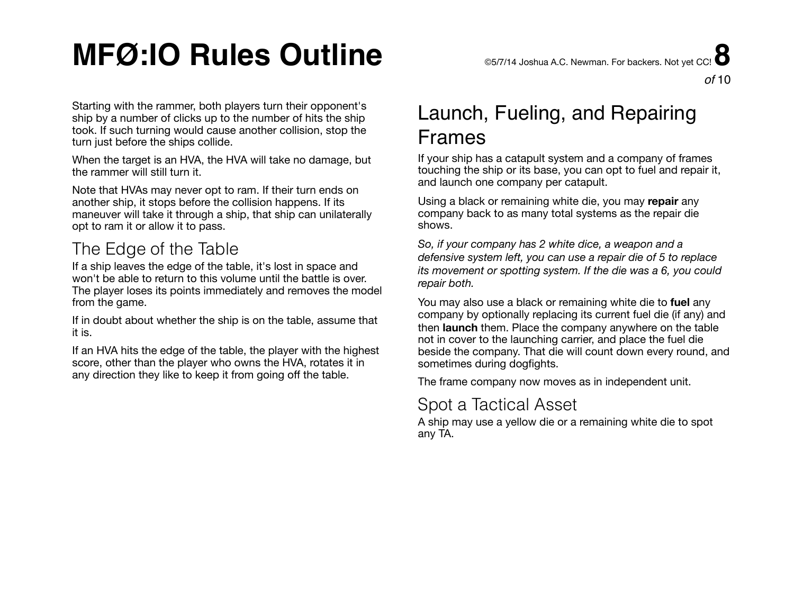# **MFØ:IO Rules Outline** ©5/7/14 Joshua A.C. Newman. For backers. Not yet CC! **8**

Starting with the rammer, both players turn their opponent's ship by a number of clicks up to the number of hits the ship took. If such turning would cause another collision, stop the turn just before the ships collide.

When the target is an HVA, the HVA will take no damage, but the rammer will still turn it.

Note that HVAs may never opt to ram. If their turn ends on another ship, it stops before the collision happens. If its maneuver will take it through a ship, that ship can unilaterally opt to ram it or allow it to pass.

## The Edge of the Table

If a ship leaves the edge of the table, it's lost in space and won't be able to return to this volume until the battle is over. The player loses its points immediately and removes the model from the game.

If in doubt about whether the ship is on the table, assume that it is.

If an HVA hits the edge of the table, the player with the highest score, other than the player who owns the HVA, rotates it in any direction they like to keep it from going off the table.

## Launch, Fueling, and Repairing Frames

If your ship has a catapult system and a company of frames touching the ship or its base, you can opt to fuel and repair it, and launch one company per catapult.

Using a black or remaining white die, you may **repair** any company back to as many total systems as the repair die shows.

*So, if your company has 2 white dice, a weapon and a defensive system left, you can use a repair die of 5 to replace its movement or spotting system. If the die was a 6, you could repair both.* 

You may also use a black or remaining white die to **fuel** any company by optionally replacing its current fuel die (if any) and then **launch** them. Place the company anywhere on the table not in cover to the launching carrier, and place the fuel die beside the company. That die will count down every round, and sometimes during dogfights.

The frame company now moves as in independent unit.

#### Spot a Tactical Asset

A ship may use a yellow die or a remaining white die to spot any TA.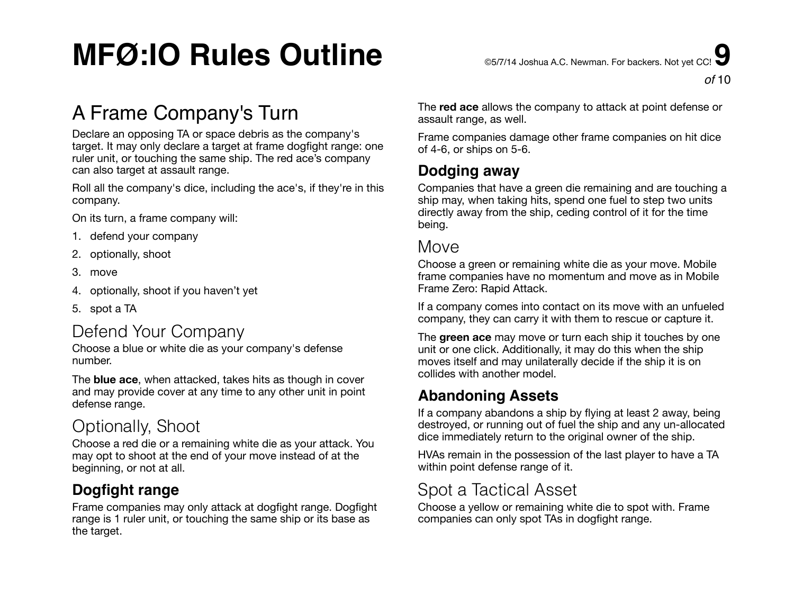# **MFØ:IO Rules Outline** ©5/7/14 Joshua A.C. Newman. For backers. Not yet CC! **9**

## A Frame Company's Turn

Declare an opposing TA or space debris as the company's target. It may only declare a target at frame dogfight range: one ruler unit, or touching the same ship. The red ace's company can also target at assault range.

Roll all the company's dice, including the ace's, if they're in this company.

On its turn, a frame company will:

- 1. defend your company
- 2. optionally, shoot
- 3. move
- 4. optionally, shoot if you haven't yet
- 5. spot a TA

### Defend Your Company

Choose a blue or white die as your company's defense number.

The **blue ace**, when attacked, takes hits as though in cover and may provide cover at any time to any other unit in point defense range.

### Optionally, Shoot

Choose a red die or a remaining white die as your attack. You may opt to shoot at the end of your move instead of at the beginning, or not at all.

#### **Dogfight range**

Frame companies may only attack at dogfight range. Dogfight range is 1 ruler unit, or touching the same ship or its base as the target.

The **red ace** allows the company to attack at point defense or assault range, as well.

Frame companies damage other frame companies on hit dice of 4-6, or ships on 5-6.

#### **Dodging away**

Companies that have a green die remaining and are touching a ship may, when taking hits, spend one fuel to step two units directly away from the ship, ceding control of it for the time being.

#### Move

Choose a green or remaining white die as your move. Mobile frame companies have no momentum and move as in Mobile Frame Zero: Rapid Attack.

If a company comes into contact on its move with an unfueled company, they can carry it with them to rescue or capture it.

The **green ace** may move or turn each ship it touches by one unit or one click. Additionally, it may do this when the ship moves itself and may unilaterally decide if the ship it is on collides with another model.

#### **Abandoning Assets**

If a company abandons a ship by flying at least 2 away, being destroyed, or running out of fuel the ship and any un-allocated dice immediately return to the original owner of the ship.

HVAs remain in the possession of the last player to have a TA within point defense range of it.

### Spot a Tactical Asset

Choose a yellow or remaining white die to spot with. Frame companies can only spot TAs in dogfight range.